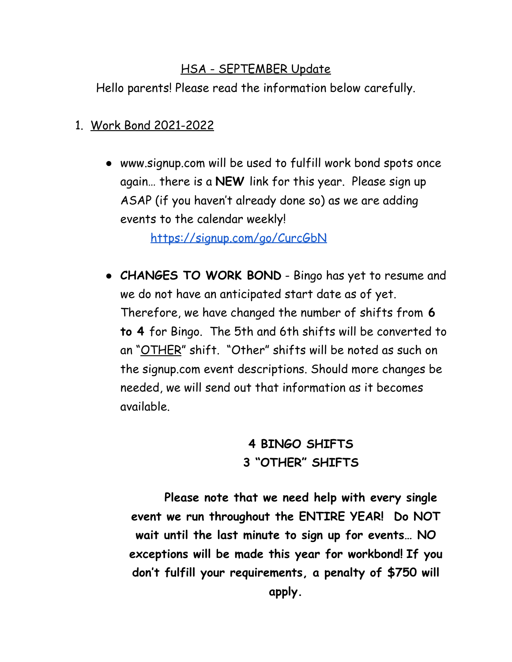## HSA - SEPTEMBER Update

Hello parents! Please read the information below carefully.

- 1. Work Bond 2021-2022
	- www.signup.com will be used to fulfill work bond spots once again… there is a **NEW** link for this year. Please sign up ASAP (if you haven't already done so) as we are adding events to the calendar weekly!

<https://signup.com/go/CurcGbN>

● **CHANGES TO WORK BOND** - Bingo has yet to resume and we do not have an anticipated start date as of yet. Therefore, we have changed the number of shifts from **6 to 4** for Bingo. The 5th and 6th shifts will be converted to an "OTHER" shift. "Other" shifts will be noted as such on the signup.com event descriptions. Should more changes be needed, we will send out that information as it becomes available.

## **4 BINGO SHIFTS 3 "OTHER" SHIFTS**

**Please note that we need help with every single event we run throughout the ENTIRE YEAR! Do NOT wait until the last minute to sign up for events… NO exceptions will be made this year for workbond! If you don't fulfill your requirements, a penalty of \$750 will apply.**